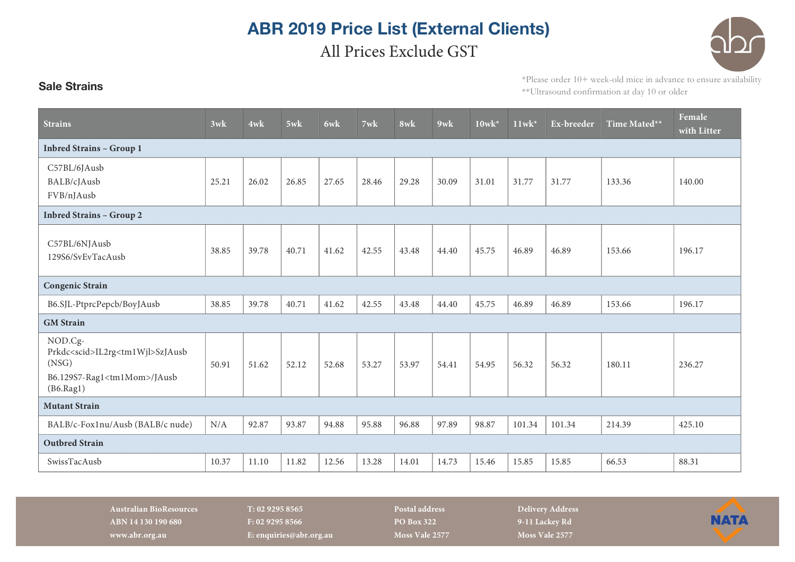## **ABR 2019 Price List (External Clients)** All Prices Exclude GST



## \*Please order 10+ week-old mice in advance to ensure availability \*\*Ultrasound confirmation at day 10 or older

| <b>Strains</b>                                                                                                               | 3wk   | 4wk   | 5wk   | 6wk   | $7$ wk | 8wk   | $9$ wk | $10$ wk* | $11$ wk <sup>*</sup> | Ex-breeder | Time Mated** | Female<br>with Litter |
|------------------------------------------------------------------------------------------------------------------------------|-------|-------|-------|-------|--------|-------|--------|----------|----------------------|------------|--------------|-----------------------|
| <b>Inbred Strains - Group 1</b>                                                                                              |       |       |       |       |        |       |        |          |                      |            |              |                       |
| C57BL/6JAusb<br>BALB/cJAusb<br>FVB/nJAusb                                                                                    | 25.21 | 26.02 | 26.85 | 27.65 | 28.46  | 29.28 | 30.09  | 31.01    | 31.77                | 31.77      | 133.36       | 140.00                |
| <b>Inbred Strains - Group 2</b>                                                                                              |       |       |       |       |        |       |        |          |                      |            |              |                       |
| C57BL/6NJAusb<br>129S6/SvEvTacAusb                                                                                           | 38.85 | 39.78 | 40.71 | 41.62 | 42.55  | 43.48 | 44.40  | 45.75    | 46.89                | 46.89      | 153.66       | 196.17                |
| <b>Congenic Strain</b>                                                                                                       |       |       |       |       |        |       |        |          |                      |            |              |                       |
| B6.SJL-PtprcPepcb/BoyJAusb                                                                                                   | 38.85 | 39.78 | 40.71 | 41.62 | 42.55  | 43.48 | 44.40  | 45.75    | 46.89                | 46.89      | 153.66       | 196.17                |
| <b>GM</b> Strain                                                                                                             |       |       |       |       |        |       |        |          |                      |            |              |                       |
| NOD.Cg-<br>Prkdc <scid>IL2rg<tm1wjl>SzJAusb<br/>(NSG)<br/>B6.129S7-Rag1<tm1mom>/JAusb<br/>(B6.Rag1)</tm1mom></tm1wjl></scid> | 50.91 | 51.62 | 52.12 | 52.68 | 53.27  | 53.97 | 54.41  | 54.95    | 56.32                | 56.32      | 180.11       | 236.27                |
| <b>Mutant Strain</b>                                                                                                         |       |       |       |       |        |       |        |          |                      |            |              |                       |
| BALB/c-Fox1nu/Ausb (BALB/c nude)                                                                                             | N/A   | 92.87 | 93.87 | 94.88 | 95.88  | 96.88 | 97.89  | 98.87    | 101.34               | 101.34     | 214.39       | 425.10                |
| <b>Outbred Strain</b>                                                                                                        |       |       |       |       |        |       |        |          |                      |            |              |                       |
| SwissTacAusb                                                                                                                 | 10.37 | 11.10 | 11.82 | 12.56 | 13.28  | 14.01 | 14.73  | 15.46    | 15.85                | 15.85      | 66.53        | 88.31                 |

**Australian BioResources T: 02 9295 8565 Postal address Delivery Address ABN 14 130 190 680 F: 02 9295 8566 PO Box 322 9-11 Lackey Rd www.abr.org.au E: enquiries@abr.org.au Moss Vale 2577 Moss Vale 2577**

**Sale Strains**

**NATA**